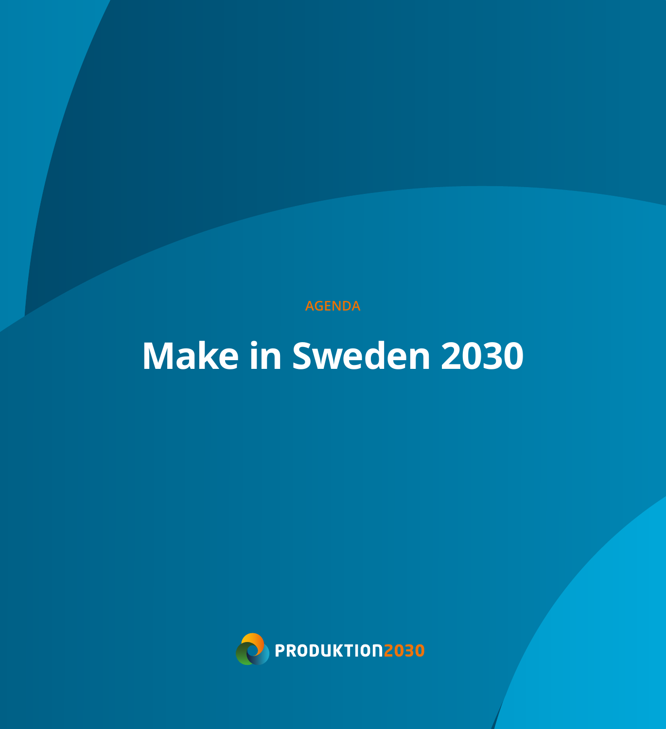**AGENDA** 

# **Make in Sweden 2030**

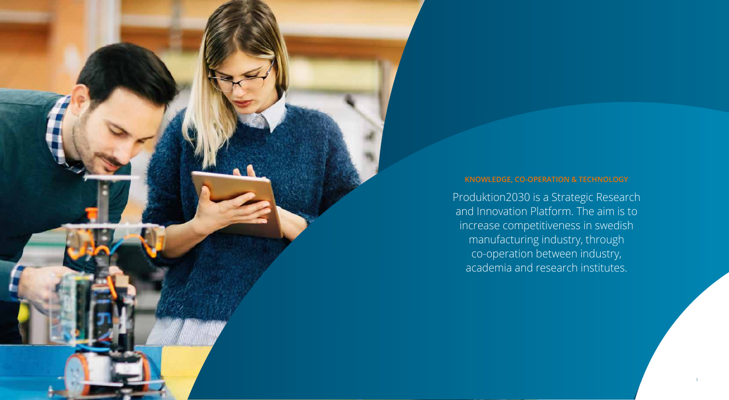# **KNOWLEDGE, CO-OPERATION & TECHNOLOGY**

Produktion2030 is a Strategic Research and Innovation Platform. The aim is to increase competitiveness in swedish manufacturing industry, through co-operation between industry, academia and research institutes.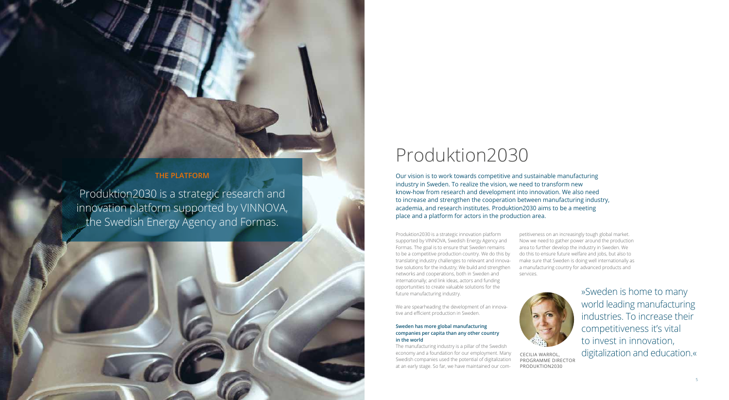

Produktion2030 is a strategic innovation platform supported by VINNOVA, Swedish Energy Agency and Formas. The goal is to ensure that Sweden remains to be a competitive production country. We do this by translating industry challenges to relevant and innova tive solutions for the industry; We build and strengthen networks and cooperations, both in Sweden and internationally; and link ideas, actors and funding opportunities to create valuable solutions for the future manufacturing industry.

We are spearheading the development of an innova -

tive and efficient production in Sweden.

**Sweden has more global manufacturing companies per capita than any other country** 

**in the world**

The manufacturing industry is a pillar of the Swedish economy and a foundation for our employment. Many Swedish companies used the potential of digitalization at an early stage. So far, we have maintained our com -

petitiveness on an increasingly tough global market. Now we need to gather power around the production area to further develop the industry in Sweden. We do this to ensure future welfare and jobs, but also to make sure that Sweden is doing well internationally as a manufacturing country for advanced products and services.



# Produktion2030

# **THE PLATFORM**

Produktion2030 is a strategic research and innovation platform supported by VINNOVA, the Swedish Energy Agency and Formas.

> CECILIA WARROL, PROGRAMME DIRECTOR PRODUKTION2030



Our vision is to work towards competitive and sustainable manufacturing industry in Sweden. To realize the vision, we need to transform new know-how from research and development into innovation. We also need to increase and strengthen the cooperation between manufacturing industry, academia, and research institutes. Produktion2030 aims to be a meeting place and a platform for actors in the production area.

> »Sweden is home to many world leading manufacturing industries. To increase their competitiveness it's vital to invest in innovation, digitalization and education.«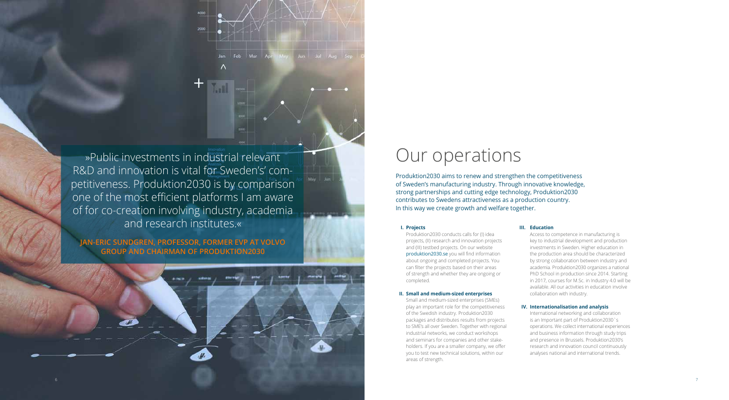### **I. Projects**

 Produktion2030 conducts calls for (I) idea projects, (II) research and innovation projects and (III) testbed projects. On our website produktion2030.se you will find information about ongoing and completed projects. You can filter the projects based on their areas of strength and whether they are ongoing or completed.

## **II. Small and medium-sized enterprises**

 Small and medium-sized enterprises (SMEs) play an important role for the competitiveness of the Swedish industry. Produktion2030 packages and distributes results from projects to SME's all over Sweden. Together with regional industrial networks, we conduct workshops and seminars for companies and other stake holders. If you are a smaller company, we offer you to test new technical solutions, within our areas of strength.

# **III. Education**

»Public investments in industrial relevant **OUR** OUR OPERTIONS R&D and innovation is vital for Sweden's' competitiveness. Produktion2030 is by comparison one of the most efficient platforms I am aware of for co-creation involving industry, academia and research institutes.«

> Access to competence in manufacturing is key to industrial development and production investments in Sweden. Higher education in the production area should be characterized by strong collaboration between industry and academia. Produktion2030 organizes a national PhD School in production since 2014. Starting in 2017, courses for M.Sc. in Industry 4.0 will be available. All our activities in education involve collaboration with industry.

## **IV. Internationalisation and analysis**

 International networking and collaboration is an Important part of Produktion2030`s operations. We collect international experiences and business information through study trips and presence in Brussels. Produktion2030's research and innovation council continuously analyses national and international trends.

# **JAN-ERIC SUNDGREN, PROFESSOR, FORMER EVP AT VOLVO GROUP AND CHAIRMAN OF PRODUKTION2030**



Produktion2030 aims to renew and strengthen the competitiveness of Sweden's manufacturing industry. Through innovative knowledge, strong partnerships and cutting edge technology, Produktion2030 contributes to Swedens attractiveness as a production country. In this way we create growth and welfare together.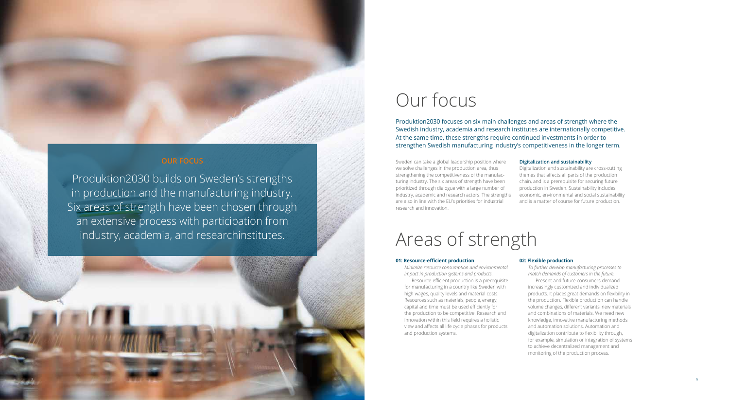# Our focus

# **OUR FOCUS**

Produktion2030 builds on Sweden's strengths in production and the manufacturing industry. Six areas of strength have been chosen through an extensive process with participation from industry, academia, and researchinstitutes.

#### **01: Resource-efficient production**

*Minimize resource consumption and environmental impact in production systems and products.*

 Resource-efficient production is a prerequisite for manufacturing in a country like Sweden with high wages, quality levels and material costs. Resources such as materials, people, energy, capital and time must be used efficiently for the production to be competitive. Research and innovation within this field requires a holistic view and affects all life cycle phases for products and production systems.

## **02: Flexible production**

*To further develop manufacturing processes to match demands of customers in the future.* Present and future consumers demand increasingly customized and individualized products. It places great demands on flexibility in the production. Flexible production can handle volume changes, different variants, new materials and combinations of materials. We need new knowledge, innovative manufacturing methods and automation solutions. Automation and digitalization contribute to flexibility through, for example, simulation or integration of systems to achieve decentralized management and monitoring of the production process.

Produktion2030 focuses on six main challenges and areas of strength where the Swedish industry, academia and research institutes are internationally competitive. At the same time, these strengths require continued investments in order to strengthen Swedish manufacturing industry's competitiveness in the longer term.

Sweden can take a global leadership position where we solve challenges in the production area, thus strengthening the competitiveness of the manufacturing industry. The six areas of strength have been prioritized through dialogue with a large number of industry, academic and research actors. The strengths are also in line with the EU's priorities for industrial research and innovation.

## **Digitalization and sustainability**

Digitalization and sustainability are cross-cutting themes that affects all parts of the production chain, and is a prerequisite for securing future production in Sweden. Sustainability includes economic, environmental and social sustainability and is a matter of course for future production.

# Areas of strength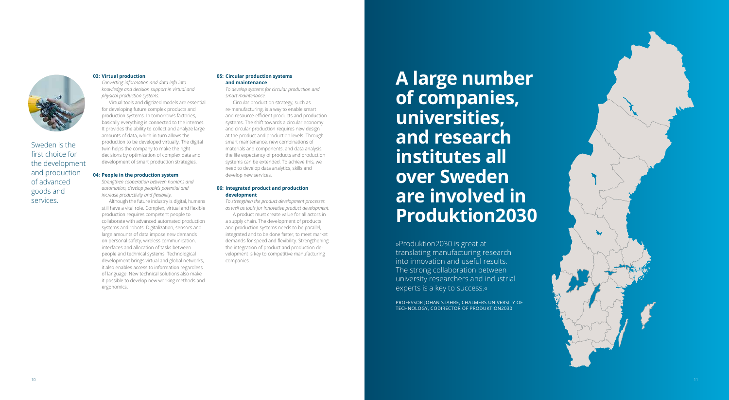## **03: Virtual production**

*Converting information and data info into knowledge and decision support in virtual and physical production systems.*

 Virtual tools and digitized models are essential for developing future complex products and production systems. In tomorrow's factories, basically everything is connected to the internet. It provides the ability to collect and analyze large amounts of data, which in turn allows the production to be developed virtually. The digital twin helps the company to make the right decisions by optimization of complex data and development of smart production strategies.

#### **04: People in the production system**

*Strengthen cooperation between humans and automation, develop people's potential and increase productivity and flexibility.*

 Although the future industry is digital, humans still have a vital role. Complex, virtual and flexible production requires competent people to collaborate with advanced automated production systems and robots. Digitalization, sensors and large amounts of data impose new demands on personal safety, wireless communication, interfaces and allocation of tasks between people and technical systems. Technological development brings virtual and global networks, it also enables access to information regardless of language. New technical solutions also make it possible to develop new working methods and ergonomics.

## **05: Circular production systems and maintenance**

*To develop systems for circular production and smart maintenance.*

 Circular production strategy, such as re-manufacturing, is a way to enable smart and resource-efficient products and production systems. The shift towards a circular economy and circular production requires new design at the product and production levels. Through smart maintenance, new combinations of materials and components, and data analysis, the life expectancy of products and production systems can be extended. To achieve this, we need to develop data analytics, skills and develop new services.

## **06: Integrated product and production development**

*To strengthen the product development processes as well as tools for innovative product development.* A product must create value for all actors in a supply chain. The development of products and production systems needs to be parallel, integrated and to be done faster, to meet market demands for speed and flexibility. Strengthening the integration of product and production de velopment is key to competitive manufacturing companies.



Sweden is the first choice for the development and production of advanced goods and services.

> »Produktion2030 is great at translating manufacturing research into innovation and useful results. The strong collaboration between university researchers and industrial experts is a key to success.«

**A large number of companies, universities, and research institutes all over Sweden are involved in Produktion2030**

PROFESSOR JOHAN STAHRE, CHALMERS UNIVERSITY OF TECHNOLOGY, CODIRECTOR OF PRODUKTION2030